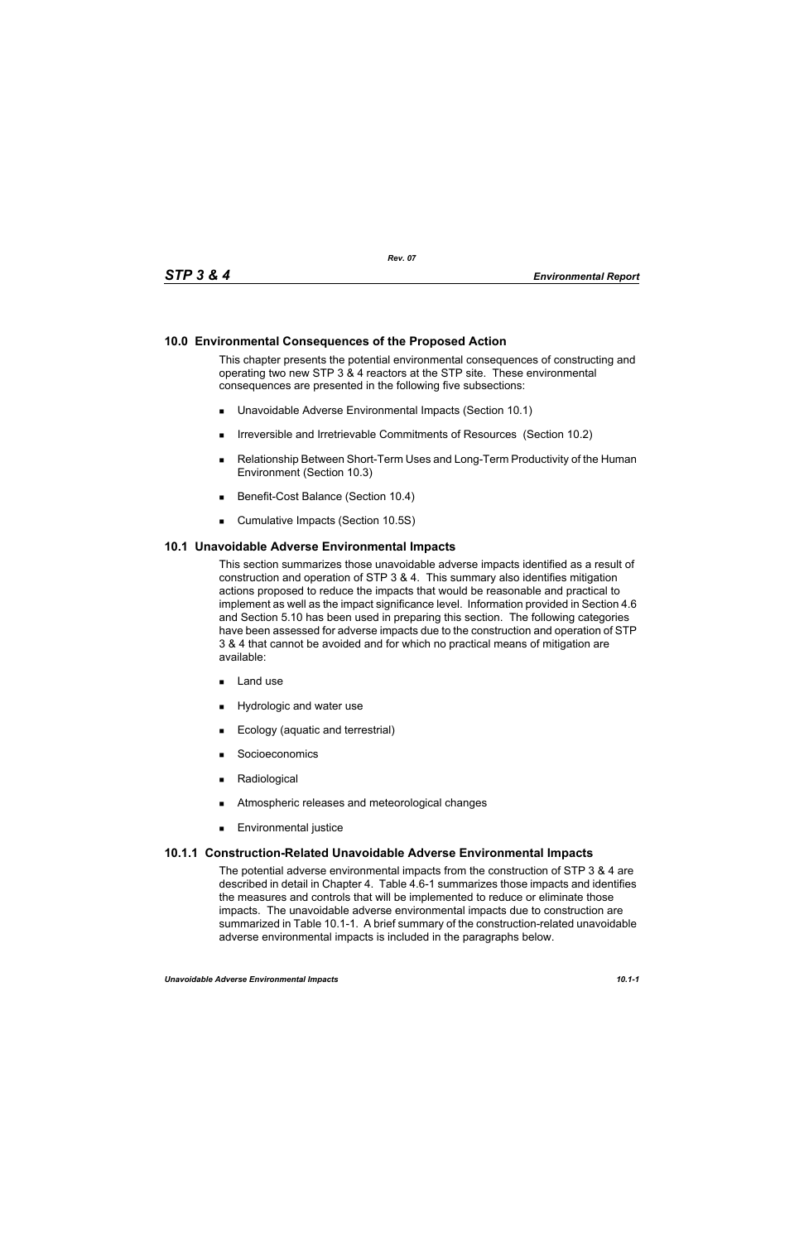# **10.0 Environmental Consequences of the Proposed Action**

This chapter presents the potential environmental consequences of constructing and operating two new STP 3 & 4 reactors at the STP site. These environmental consequences are presented in the following five subsections:

- Unavoidable Adverse Environmental Impacts (Section 10.1)
- **IFIRE 19.5 Irreversible and Irretrievable Commitments of Resources (Section 10.2)**
- Relationship Between Short-Term Uses and Long-Term Productivity of the Human Environment (Section 10.3)
- Benefit-Cost Balance (Section 10.4)
- **Cumulative Impacts (Section 10.5S)**

#### **10.1 Unavoidable Adverse Environmental Impacts**

This section summarizes those unavoidable adverse impacts identified as a result of construction and operation of STP 3 & 4. This summary also identifies mitigation actions proposed to reduce the impacts that would be reasonable and practical to implement as well as the impact significance level. Information provided in Section 4.6 and Section 5.10 has been used in preparing this section. The following categories have been assessed for adverse impacts due to the construction and operation of STP 3 & 4 that cannot be avoided and for which no practical means of mitigation are available:

- $\blacksquare$  Land use
- **Hydrologic and water use**
- **Ecology (aquatic and terrestrial)**
- **Socioeconomics**
- **Radiological**
- **EXECUTE:** Atmospheric releases and meteorological changes
- **Environmental justice**

#### **10.1.1 Construction-Related Unavoidable Adverse Environmental Impacts**

The potential adverse environmental impacts from the construction of STP 3 & 4 are described in detail in Chapter 4. Table 4.6-1 summarizes those impacts and identifies the measures and controls that will be implemented to reduce or eliminate those impacts. The unavoidable adverse environmental impacts due to construction are summarized in Table 10.1-1. A brief summary of the construction-related unavoidable adverse environmental impacts is included in the paragraphs below.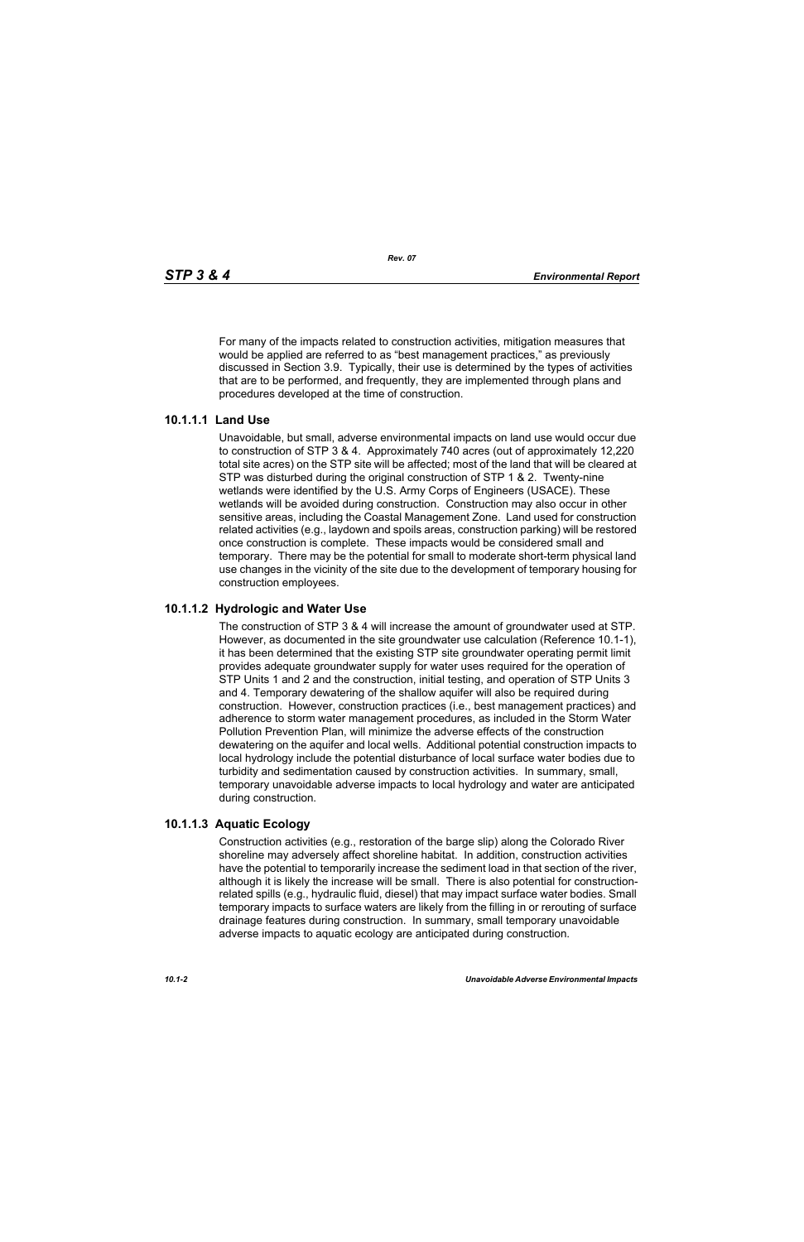For many of the impacts related to construction activities, mitigation measures that would be applied are referred to as "best management practices," as previously discussed in Section 3.9. Typically, their use is determined by the types of activities that are to be performed, and frequently, they are implemented through plans and procedures developed at the time of construction.

### **10.1.1.1 Land Use**

Unavoidable, but small, adverse environmental impacts on land use would occur due to construction of STP 3 & 4. Approximately 740 acres (out of approximately 12,220 total site acres) on the STP site will be affected; most of the land that will be cleared at STP was disturbed during the original construction of STP 1 & 2. Twenty-nine wetlands were identified by the U.S. Army Corps of Engineers (USACE). These wetlands will be avoided during construction. Construction may also occur in other sensitive areas, including the Coastal Management Zone. Land used for construction related activities (e.g., laydown and spoils areas, construction parking) will be restored once construction is complete. These impacts would be considered small and temporary. There may be the potential for small to moderate short-term physical land use changes in the vicinity of the site due to the development of temporary housing for construction employees.

## **10.1.1.2 Hydrologic and Water Use**

The construction of STP 3 & 4 will increase the amount of groundwater used at STP. However, as documented in the site groundwater use calculation (Reference 10.1-1), it has been determined that the existing STP site groundwater operating permit limit provides adequate groundwater supply for water uses required for the operation of STP Units 1 and 2 and the construction, initial testing, and operation of STP Units 3 and 4. Temporary dewatering of the shallow aquifer will also be required during construction. However, construction practices (i.e., best management practices) and adherence to storm water management procedures, as included in the Storm Water Pollution Prevention Plan, will minimize the adverse effects of the construction dewatering on the aquifer and local wells. Additional potential construction impacts to local hydrology include the potential disturbance of local surface water bodies due to turbidity and sedimentation caused by construction activities. In summary, small, temporary unavoidable adverse impacts to local hydrology and water are anticipated during construction.

### **10.1.1.3 Aquatic Ecology**

Construction activities (e.g., restoration of the barge slip) along the Colorado River shoreline may adversely affect shoreline habitat. In addition, construction activities have the potential to temporarily increase the sediment load in that section of the river, although it is likely the increase will be small. There is also potential for constructionrelated spills (e.g., hydraulic fluid, diesel) that may impact surface water bodies. Small temporary impacts to surface waters are likely from the filling in or rerouting of surface drainage features during construction. In summary, small temporary unavoidable adverse impacts to aquatic ecology are anticipated during construction.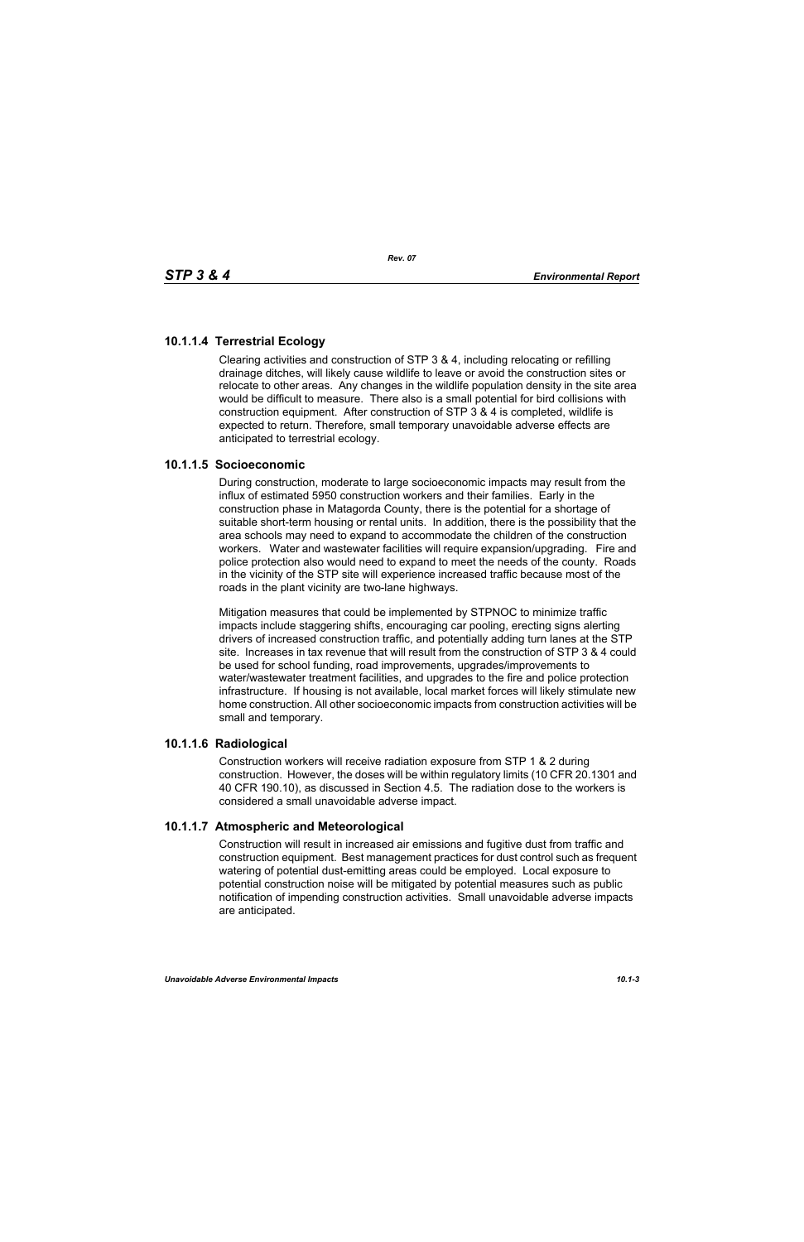# **10.1.1.4 Terrestrial Ecology**

Clearing activities and construction of STP 3 & 4, including relocating or refilling drainage ditches, will likely cause wildlife to leave or avoid the construction sites or relocate to other areas. Any changes in the wildlife population density in the site area would be difficult to measure. There also is a small potential for bird collisions with construction equipment. After construction of STP 3 & 4 is completed, wildlife is expected to return. Therefore, small temporary unavoidable adverse effects are anticipated to terrestrial ecology.

## **10.1.1.5 Socioeconomic**

During construction, moderate to large socioeconomic impacts may result from the influx of estimated 5950 construction workers and their families. Early in the construction phase in Matagorda County, there is the potential for a shortage of suitable short-term housing or rental units. In addition, there is the possibility that the area schools may need to expand to accommodate the children of the construction workers. Water and wastewater facilities will require expansion/upgrading. Fire and police protection also would need to expand to meet the needs of the county. Roads in the vicinity of the STP site will experience increased traffic because most of the roads in the plant vicinity are two-lane highways.

Mitigation measures that could be implemented by STPNOC to minimize traffic impacts include staggering shifts, encouraging car pooling, erecting signs alerting drivers of increased construction traffic, and potentially adding turn lanes at the STP site. Increases in tax revenue that will result from the construction of STP 3 & 4 could be used for school funding, road improvements, upgrades/improvements to water/wastewater treatment facilities, and upgrades to the fire and police protection infrastructure. If housing is not available, local market forces will likely stimulate new home construction. All other socioeconomic impacts from construction activities will be small and temporary.

### **10.1.1.6 Radiological**

Construction workers will receive radiation exposure from STP 1 & 2 during construction. However, the doses will be within regulatory limits (10 CFR 20.1301 and 40 CFR 190.10), as discussed in Section 4.5. The radiation dose to the workers is considered a small unavoidable adverse impact.

# **10.1.1.7 Atmospheric and Meteorological**

Construction will result in increased air emissions and fugitive dust from traffic and construction equipment. Best management practices for dust control such as frequent watering of potential dust-emitting areas could be employed. Local exposure to potential construction noise will be mitigated by potential measures such as public notification of impending construction activities. Small unavoidable adverse impacts are anticipated.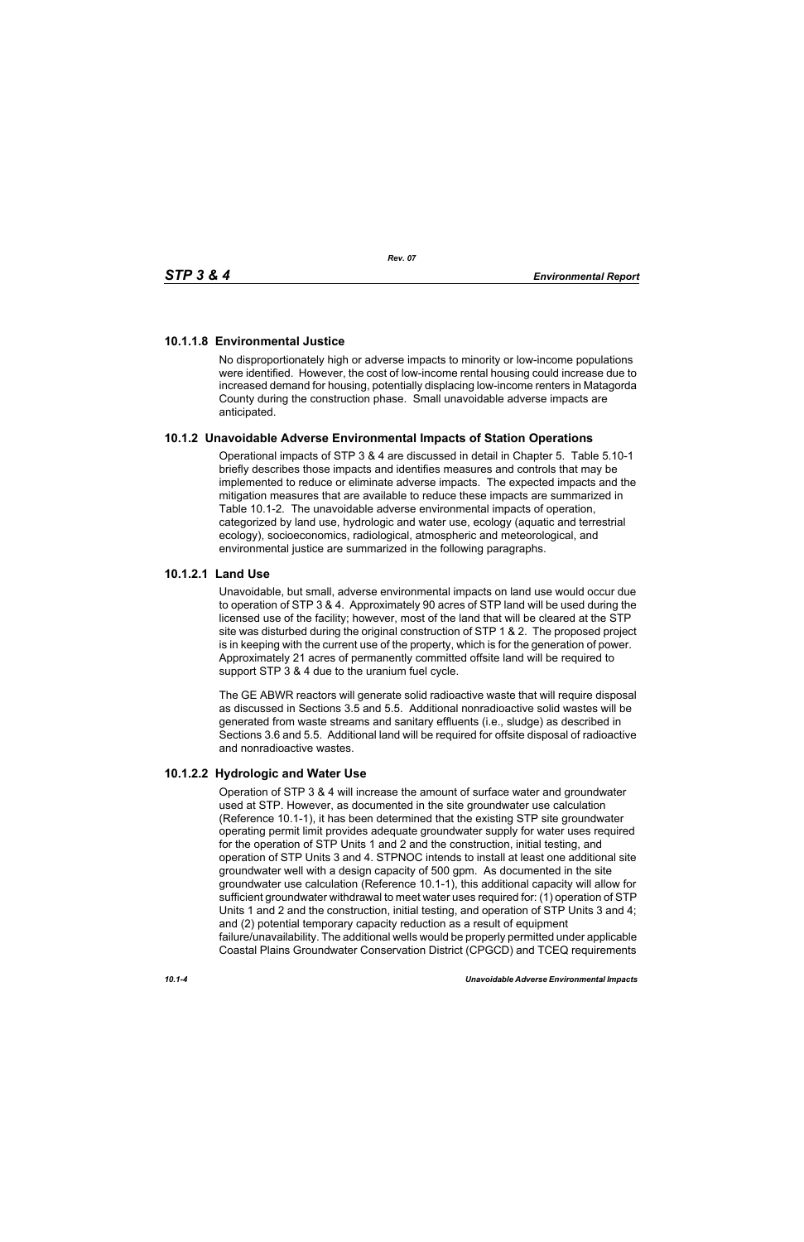# **10.1.1.8 Environmental Justice**

No disproportionately high or adverse impacts to minority or low-income populations were identified. However, the cost of low-income rental housing could increase due to increased demand for housing, potentially displacing low-income renters in Matagorda County during the construction phase. Small unavoidable adverse impacts are anticipated.

# **10.1.2 Unavoidable Adverse Environmental Impacts of Station Operations**

Operational impacts of STP 3 & 4 are discussed in detail in Chapter 5. Table 5.10-1 briefly describes those impacts and identifies measures and controls that may be implemented to reduce or eliminate adverse impacts. The expected impacts and the mitigation measures that are available to reduce these impacts are summarized in Table 10.1-2. The unavoidable adverse environmental impacts of operation, categorized by land use, hydrologic and water use, ecology (aquatic and terrestrial ecology), socioeconomics, radiological, atmospheric and meteorological, and environmental justice are summarized in the following paragraphs.

## **10.1.2.1 Land Use**

Unavoidable, but small, adverse environmental impacts on land use would occur due to operation of STP 3 & 4. Approximately 90 acres of STP land will be used during the licensed use of the facility; however, most of the land that will be cleared at the STP site was disturbed during the original construction of STP 1 & 2. The proposed project is in keeping with the current use of the property, which is for the generation of power. Approximately 21 acres of permanently committed offsite land will be required to support STP 3 & 4 due to the uranium fuel cycle.

The GE ABWR reactors will generate solid radioactive waste that will require disposal as discussed in Sections 3.5 and 5.5. Additional nonradioactive solid wastes will be generated from waste streams and sanitary effluents (i.e., sludge) as described in Sections 3.6 and 5.5. Additional land will be required for offsite disposal of radioactive and nonradioactive wastes.

# **10.1.2.2 Hydrologic and Water Use**

Operation of STP 3 & 4 will increase the amount of surface water and groundwater used at STP. However, as documented in the site groundwater use calculation (Reference 10.1-1), it has been determined that the existing STP site groundwater operating permit limit provides adequate groundwater supply for water uses required for the operation of STP Units 1 and 2 and the construction, initial testing, and operation of STP Units 3 and 4. STPNOC intends to install at least one additional site groundwater well with a design capacity of 500 gpm. As documented in the site groundwater use calculation (Reference 10.1-1), this additional capacity will allow for sufficient groundwater withdrawal to meet water uses required for: (1) operation of STP Units 1 and 2 and the construction, initial testing, and operation of STP Units 3 and 4; and (2) potential temporary capacity reduction as a result of equipment failure/unavailability. The additional wells would be properly permitted under applicable Coastal Plains Groundwater Conservation District (CPGCD) and TCEQ requirements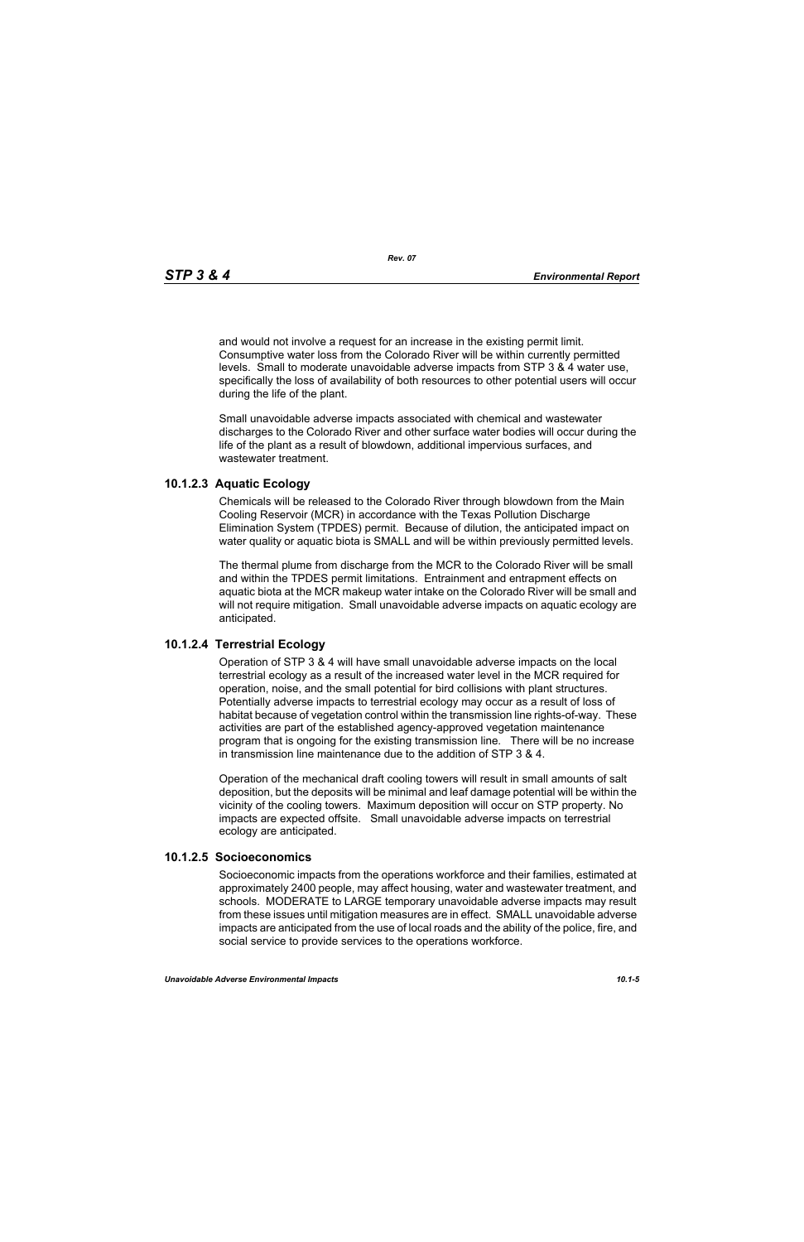and would not involve a request for an increase in the existing permit limit. Consumptive water loss from the Colorado River will be within currently permitted levels. Small to moderate unavoidable adverse impacts from STP 3 & 4 water use, specifically the loss of availability of both resources to other potential users will occur during the life of the plant.

Small unavoidable adverse impacts associated with chemical and wastewater discharges to the Colorado River and other surface water bodies will occur during the life of the plant as a result of blowdown, additional impervious surfaces, and wastewater treatment.

### **10.1.2.3 Aquatic Ecology**

Chemicals will be released to the Colorado River through blowdown from the Main Cooling Reservoir (MCR) in accordance with the Texas Pollution Discharge Elimination System (TPDES) permit. Because of dilution, the anticipated impact on water quality or aquatic biota is SMALL and will be within previously permitted levels.

The thermal plume from discharge from the MCR to the Colorado River will be small and within the TPDES permit limitations. Entrainment and entrapment effects on aquatic biota at the MCR makeup water intake on the Colorado River will be small and will not require mitigation. Small unavoidable adverse impacts on aquatic ecology are anticipated.

### **10.1.2.4 Terrestrial Ecology**

Operation of STP 3 & 4 will have small unavoidable adverse impacts on the local terrestrial ecology as a result of the increased water level in the MCR required for operation, noise, and the small potential for bird collisions with plant structures. Potentially adverse impacts to terrestrial ecology may occur as a result of loss of habitat because of vegetation control within the transmission line rights-of-way. These activities are part of the established agency-approved vegetation maintenance program that is ongoing for the existing transmission line. There will be no increase in transmission line maintenance due to the addition of STP 3 & 4.

Operation of the mechanical draft cooling towers will result in small amounts of salt deposition, but the deposits will be minimal and leaf damage potential will be within the vicinity of the cooling towers. Maximum deposition will occur on STP property. No impacts are expected offsite. Small unavoidable adverse impacts on terrestrial ecology are anticipated.

#### **10.1.2.5 Socioeconomics**

Socioeconomic impacts from the operations workforce and their families, estimated at approximately 2400 people, may affect housing, water and wastewater treatment, and schools. MODERATE to LARGE temporary unavoidable adverse impacts may result from these issues until mitigation measures are in effect. SMALL unavoidable adverse impacts are anticipated from the use of local roads and the ability of the police, fire, and social service to provide services to the operations workforce.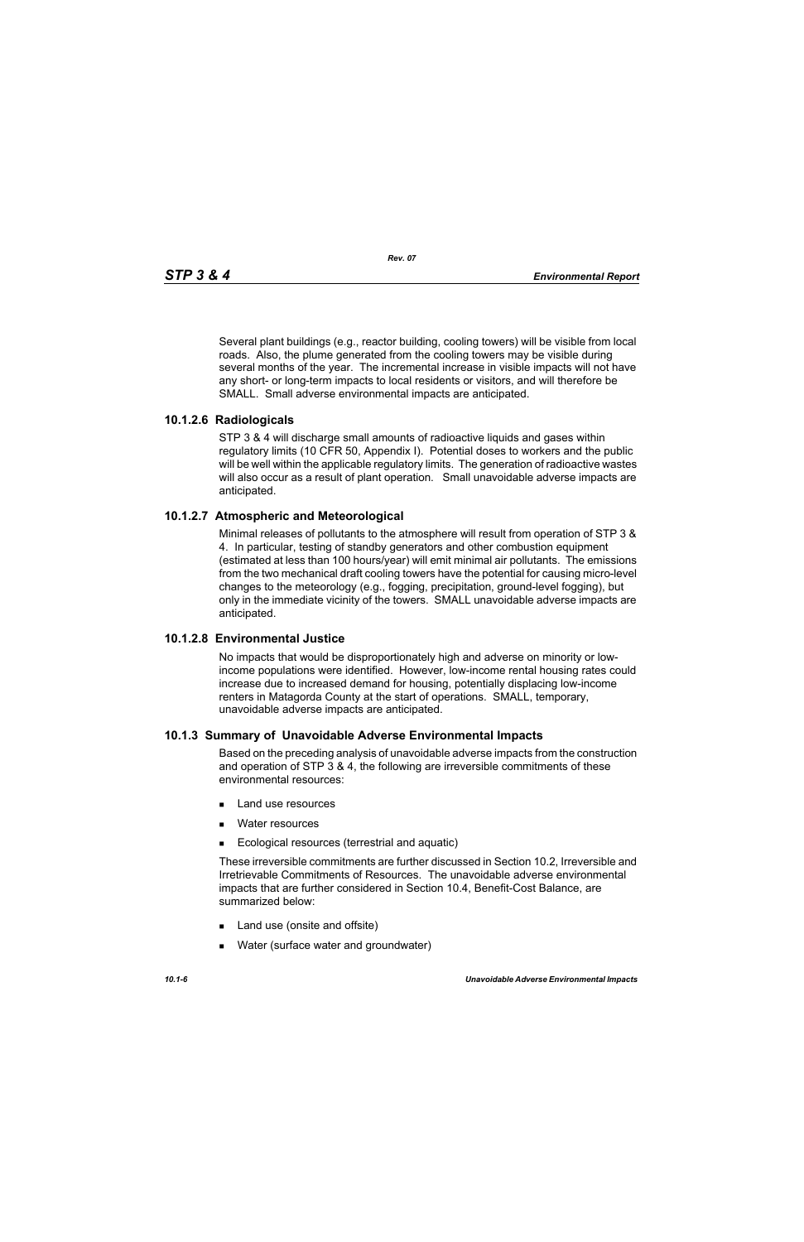Several plant buildings (e.g., reactor building, cooling towers) will be visible from local roads. Also, the plume generated from the cooling towers may be visible during several months of the year. The incremental increase in visible impacts will not have any short- or long-term impacts to local residents or visitors, and will therefore be SMALL. Small adverse environmental impacts are anticipated.

## **10.1.2.6 Radiologicals**

STP 3 & 4 will discharge small amounts of radioactive liquids and gases within regulatory limits (10 CFR 50, Appendix I). Potential doses to workers and the public will be well within the applicable regulatory limits. The generation of radioactive wastes will also occur as a result of plant operation. Small unavoidable adverse impacts are anticipated.

## **10.1.2.7 Atmospheric and Meteorological**

Minimal releases of pollutants to the atmosphere will result from operation of STP 3 & 4. In particular, testing of standby generators and other combustion equipment (estimated at less than 100 hours/year) will emit minimal air pollutants. The emissions from the two mechanical draft cooling towers have the potential for causing micro-level changes to the meteorology (e.g., fogging, precipitation, ground-level fogging), but only in the immediate vicinity of the towers. SMALL unavoidable adverse impacts are anticipated.

#### **10.1.2.8 Environmental Justice**

No impacts that would be disproportionately high and adverse on minority or lowincome populations were identified. However, low-income rental housing rates could increase due to increased demand for housing, potentially displacing low-income renters in Matagorda County at the start of operations. SMALL, temporary, unavoidable adverse impacts are anticipated.

#### **10.1.3 Summary of Unavoidable Adverse Environmental Impacts**

Based on the preceding analysis of unavoidable adverse impacts from the construction and operation of STP 3 & 4, the following are irreversible commitments of these environmental resources:

- **Land use resources**
- **Nater resources**
- **Ecological resources (terrestrial and aquatic)**

These irreversible commitments are further discussed in Section 10.2, Irreversible and Irretrievable Commitments of Resources. The unavoidable adverse environmental impacts that are further considered in Section 10.4, Benefit-Cost Balance, are summarized below:

- Land use (onsite and offsite)
- **Nater (surface water and groundwater)**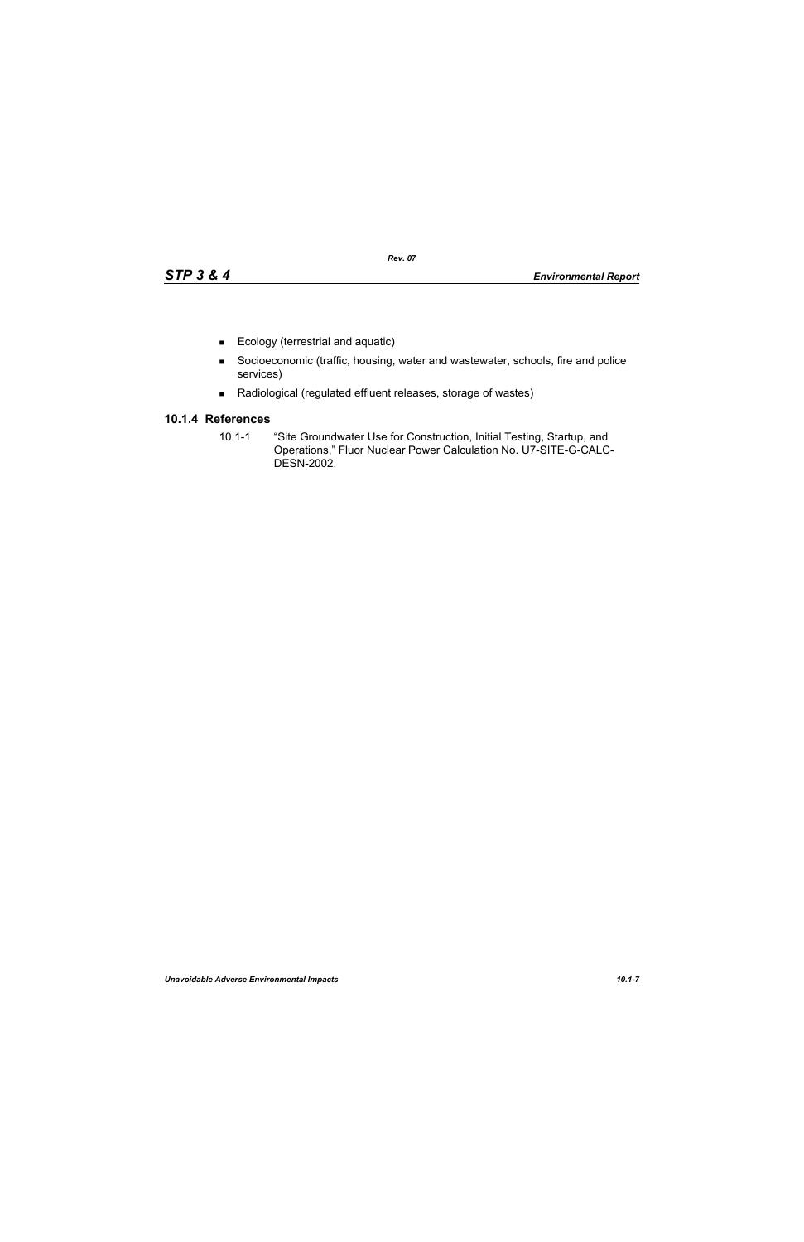- Ecology (terrestrial and aquatic)
- Socioeconomic (traffic, housing, water and wastewater, schools, fire and police services)
- Radiological (regulated effluent releases, storage of wastes)

# **10.1.4 References**

10.1-1 "Site Groundwater Use for Construction, Initial Testing, Startup, and Operations," Fluor Nuclear Power Calculation No. U7-SITE-G-CALC-DESN-2002.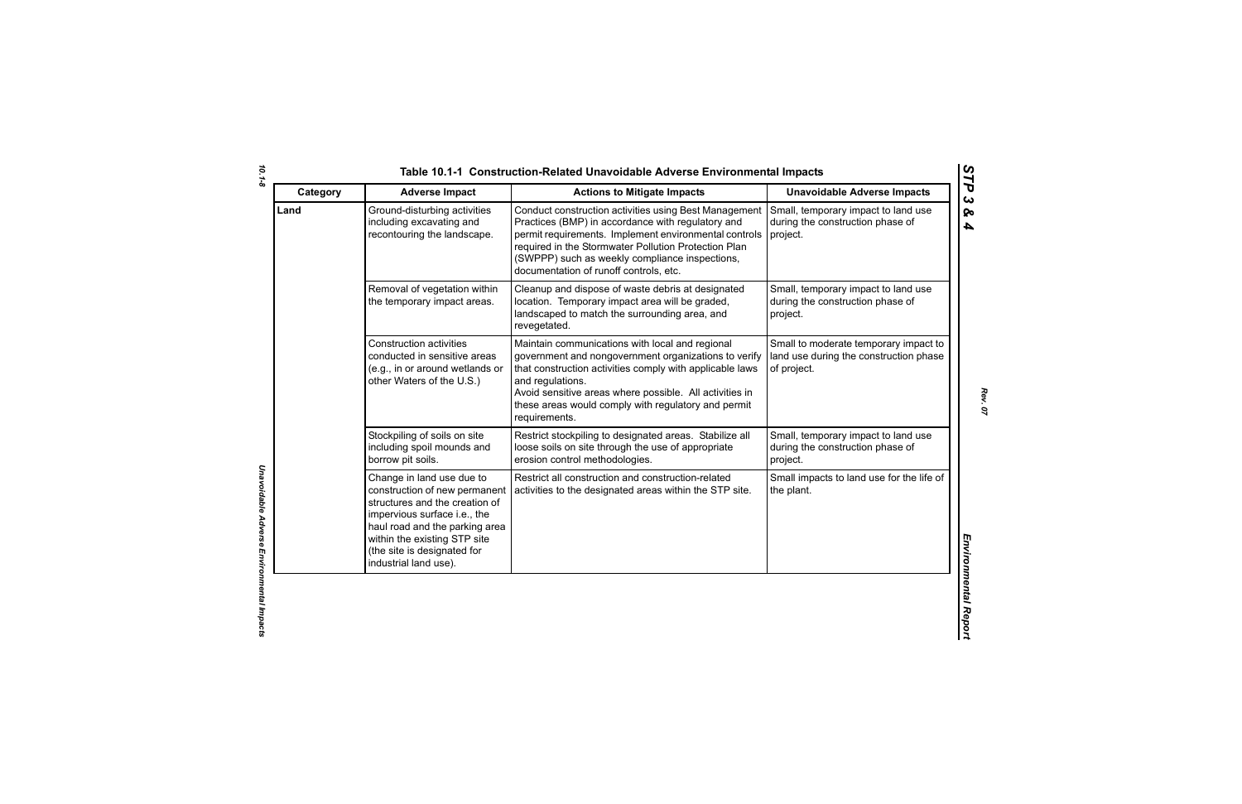| Category | <b>Adverse Impact</b>                                                                                                                                                                                                                                  | <b>Actions to Mitigate Impacts</b>                                                                                                                                                                                                                                                                                         | <b>Unavoidable Adverse Impacts</b>                                                             |
|----------|--------------------------------------------------------------------------------------------------------------------------------------------------------------------------------------------------------------------------------------------------------|----------------------------------------------------------------------------------------------------------------------------------------------------------------------------------------------------------------------------------------------------------------------------------------------------------------------------|------------------------------------------------------------------------------------------------|
| Land     | Ground-disturbing activities<br>including excavating and<br>recontouring the landscape.                                                                                                                                                                | Conduct construction activities using Best Management<br>Practices (BMP) in accordance with regulatory and<br>permit requirements. Implement environmental controls<br>required in the Stormwater Pollution Protection Plan<br>(SWPPP) such as weekly compliance inspections,<br>documentation of runoff controls, etc.    | Small, temporary impact to land use<br>during the construction phase of<br>project.            |
|          | Removal of vegetation within<br>the temporary impact areas.                                                                                                                                                                                            | Cleanup and dispose of waste debris at designated<br>location. Temporary impact area will be graded,<br>landscaped to match the surrounding area, and<br>revegetated.                                                                                                                                                      | Small, temporary impact to land use<br>during the construction phase of<br>project.            |
|          | <b>Construction activities</b><br>conducted in sensitive areas<br>(e.g., in or around wetlands or<br>other Waters of the U.S.)                                                                                                                         | Maintain communications with local and regional<br>government and nongovernment organizations to verify<br>that construction activities comply with applicable laws<br>and regulations.<br>Avoid sensitive areas where possible. All activities in<br>these areas would comply with regulatory and permit<br>requirements. | Small to moderate temporary impact to<br>land use during the construction phase<br>of project. |
|          | Stockpiling of soils on site<br>including spoil mounds and<br>borrow pit soils.                                                                                                                                                                        | Restrict stockpiling to designated areas. Stabilize all<br>loose soils on site through the use of appropriate<br>erosion control methodologies.                                                                                                                                                                            | Small, temporary impact to land use<br>during the construction phase of<br>project.            |
|          | Change in land use due to<br>construction of new permanent<br>structures and the creation of<br>impervious surface i.e., the<br>haul road and the parking area<br>within the existing STP site<br>(the site is designated for<br>industrial land use). | Restrict all construction and construction-related<br>activities to the designated areas within the STP site.                                                                                                                                                                                                              | Small impacts to land use for the life of<br>the plant.                                        |

*Rev. 07*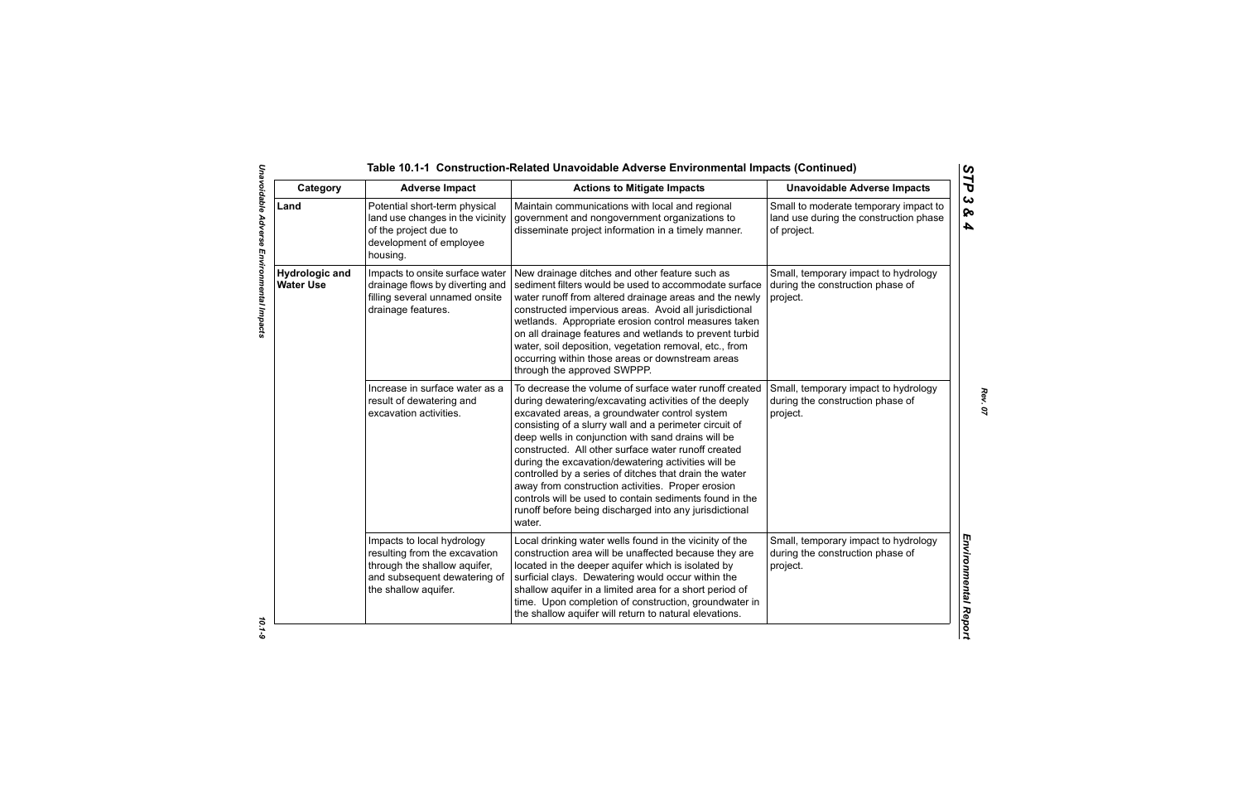| Category                                  | <b>Adverse Impact</b>                                                                                                                               | <b>Actions to Mitigate Impacts</b>                                                                                                                                                                                                                                                                                                                                                                                                                                                                                                                                                                                                           | <b>Unavoidable Adverse Impacts</b>                                                             |
|-------------------------------------------|-----------------------------------------------------------------------------------------------------------------------------------------------------|----------------------------------------------------------------------------------------------------------------------------------------------------------------------------------------------------------------------------------------------------------------------------------------------------------------------------------------------------------------------------------------------------------------------------------------------------------------------------------------------------------------------------------------------------------------------------------------------------------------------------------------------|------------------------------------------------------------------------------------------------|
| Land                                      | Potential short-term physical<br>land use changes in the vicinity<br>of the project due to<br>development of employee<br>housing.                   | Maintain communications with local and regional<br>government and nongovernment organizations to<br>disseminate project information in a timely manner.                                                                                                                                                                                                                                                                                                                                                                                                                                                                                      | Small to moderate temporary impact to<br>land use during the construction phase<br>of project. |
| <b>Hydrologic and</b><br><b>Water Use</b> | Impacts to onsite surface water<br>drainage flows by diverting and<br>filling several unnamed onsite<br>drainage features.                          | New drainage ditches and other feature such as<br>sediment filters would be used to accommodate surface<br>water runoff from altered drainage areas and the newly<br>constructed impervious areas. Avoid all jurisdictional<br>wetlands. Appropriate erosion control measures taken<br>on all drainage features and wetlands to prevent turbid<br>water, soil deposition, vegetation removal, etc., from<br>occurring within those areas or downstream areas<br>through the approved SWPPP.                                                                                                                                                  | Small, temporary impact to hydrology<br>during the construction phase of<br>project.           |
|                                           | Increase in surface water as a<br>result of dewatering and<br>excavation activities.                                                                | To decrease the volume of surface water runoff created<br>during dewatering/excavating activities of the deeply<br>excavated areas, a groundwater control system<br>consisting of a slurry wall and a perimeter circuit of<br>deep wells in conjunction with sand drains will be<br>constructed. All other surface water runoff created<br>during the excavation/dewatering activities will be<br>controlled by a series of ditches that drain the water<br>away from construction activities. Proper erosion<br>controls will be used to contain sediments found in the<br>runoff before being discharged into any jurisdictional<br>water. | Small, temporary impact to hydrology<br>during the construction phase of<br>project.           |
|                                           | Impacts to local hydrology<br>resulting from the excavation<br>through the shallow aquifer,<br>and subsequent dewatering of<br>the shallow aquifer. | Local drinking water wells found in the vicinity of the<br>construction area will be unaffected because they are<br>located in the deeper aquifer which is isolated by<br>surficial clays. Dewatering would occur within the<br>shallow aquifer in a limited area for a short period of<br>time. Upon completion of construction, groundwater in<br>the shallow aquifer will return to natural elevations.                                                                                                                                                                                                                                   | Small, temporary impact to hydrology<br>during the construction phase of<br>project.           |

*Rev. 07*

 $10.1 - 9$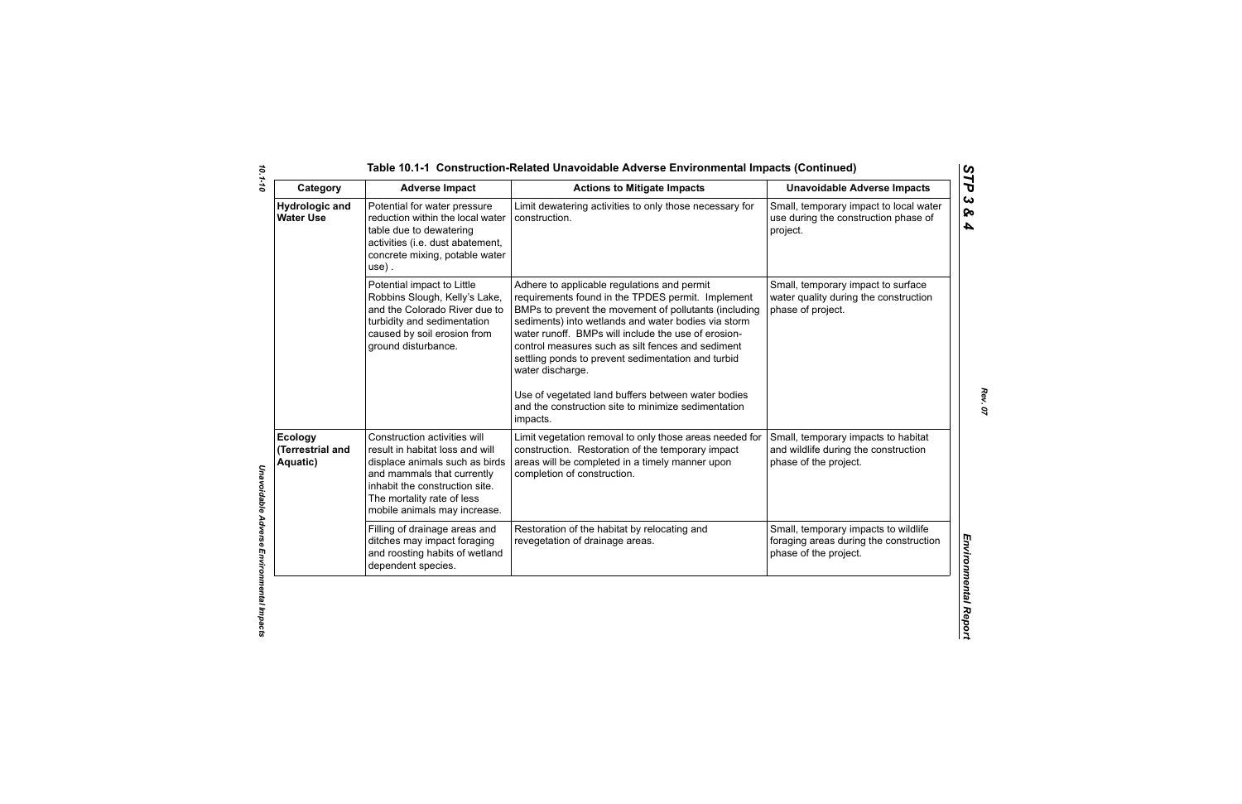| Category                                       | <b>Adverse Impact</b>                                                                                                                                                                                                           | <b>Actions to Mitigate Impacts</b>                                                                                                                                                                                                                                                                                                                                                                                                                                                                                              | <b>Unavoidable Adverse Impacts</b>                                                                      |
|------------------------------------------------|---------------------------------------------------------------------------------------------------------------------------------------------------------------------------------------------------------------------------------|---------------------------------------------------------------------------------------------------------------------------------------------------------------------------------------------------------------------------------------------------------------------------------------------------------------------------------------------------------------------------------------------------------------------------------------------------------------------------------------------------------------------------------|---------------------------------------------------------------------------------------------------------|
| <b>Hydrologic and</b><br><b>Water Use</b>      | Potential for water pressure<br>reduction within the local water<br>table due to dewatering<br>activities (i.e. dust abatement,<br>concrete mixing, potable water<br>$use)$ .                                                   | Limit dewatering activities to only those necessary for<br>construction.                                                                                                                                                                                                                                                                                                                                                                                                                                                        | Small, temporary impact to local water<br>use during the construction phase of<br>project.              |
|                                                | Potential impact to Little<br>Robbins Slough, Kelly's Lake,<br>and the Colorado River due to<br>turbidity and sedimentation<br>caused by soil erosion from<br>ground disturbance.                                               | Adhere to applicable regulations and permit<br>requirements found in the TPDES permit. Implement<br>BMPs to prevent the movement of pollutants (including<br>sediments) into wetlands and water bodies via storm<br>water runoff. BMPs will include the use of erosion-<br>control measures such as silt fences and sediment<br>settling ponds to prevent sedimentation and turbid<br>water discharge.<br>Use of vegetated land buffers between water bodies<br>and the construction site to minimize sedimentation<br>impacts. | Small, temporary impact to surface<br>water quality during the construction<br>phase of project.        |
| <b>Ecology</b><br>(Terrestrial and<br>Aquatic) | Construction activities will<br>result in habitat loss and will<br>displace animals such as birds<br>and mammals that currently<br>inhabit the construction site.<br>The mortality rate of less<br>mobile animals may increase. | Limit vegetation removal to only those areas needed for<br>construction. Restoration of the temporary impact<br>areas will be completed in a timely manner upon<br>completion of construction.                                                                                                                                                                                                                                                                                                                                  | Small, temporary impacts to habitat<br>and wildlife during the construction<br>phase of the project.    |
|                                                | Filling of drainage areas and<br>ditches may impact foraging<br>and roosting habits of wetland<br>dependent species.                                                                                                            | Restoration of the habitat by relocating and<br>revegetation of drainage areas.                                                                                                                                                                                                                                                                                                                                                                                                                                                 | Small, temporary impacts to wildlife<br>foraging areas during the construction<br>phase of the project. |

*STP 3 & 4*

*Rev. 07*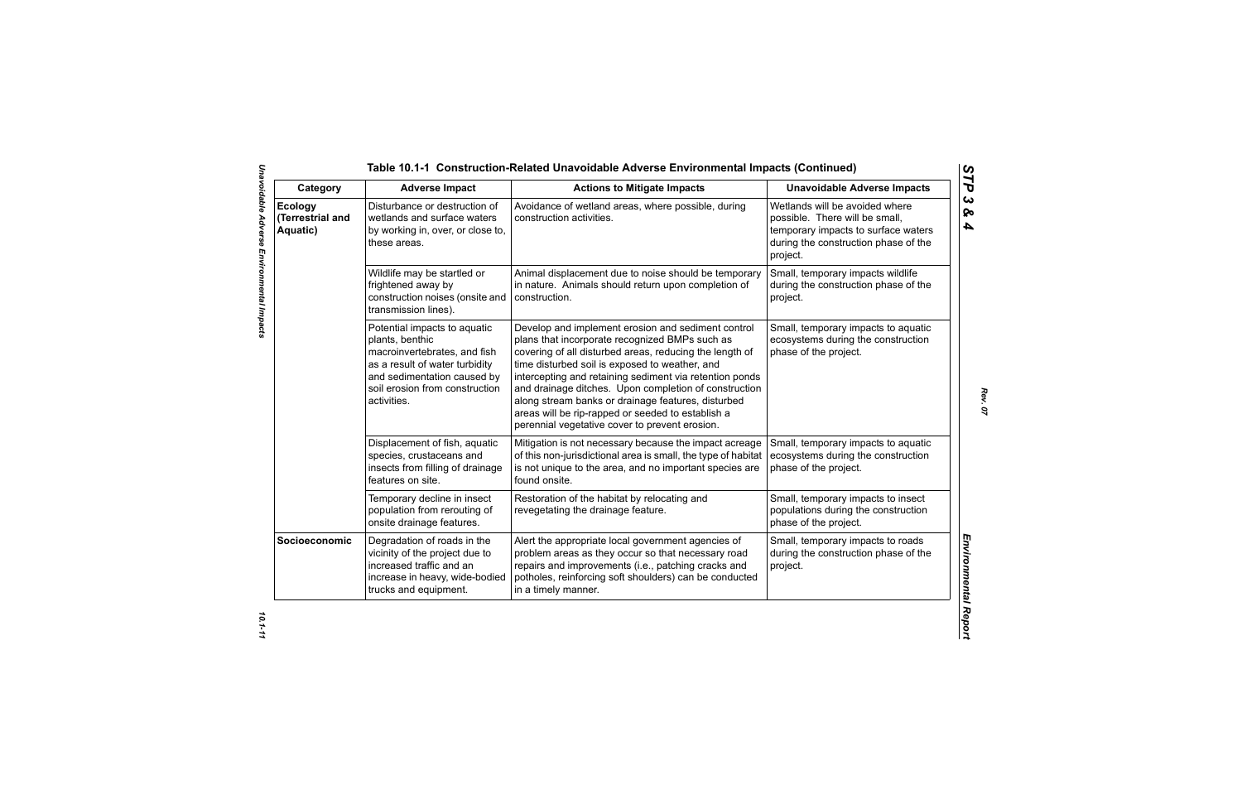| Category                                | <b>Adverse Impact</b>                                                                                                                                                                             | <b>Actions to Mitigate Impacts</b>                                                                                                                                                                                                                                                                                                                                                                                                                                                                 | <b>Unavoidable Adverse Impacts</b>                                                                                                                          |
|-----------------------------------------|---------------------------------------------------------------------------------------------------------------------------------------------------------------------------------------------------|----------------------------------------------------------------------------------------------------------------------------------------------------------------------------------------------------------------------------------------------------------------------------------------------------------------------------------------------------------------------------------------------------------------------------------------------------------------------------------------------------|-------------------------------------------------------------------------------------------------------------------------------------------------------------|
| Ecology<br>(Terrestrial and<br>Aquatic) | Disturbance or destruction of<br>wetlands and surface waters<br>by working in, over, or close to,<br>these areas.                                                                                 | Avoidance of wetland areas, where possible, during<br>construction activities.                                                                                                                                                                                                                                                                                                                                                                                                                     | Wetlands will be avoided where<br>possible. There will be small,<br>temporary impacts to surface waters<br>during the construction phase of the<br>project. |
|                                         | Wildlife may be startled or<br>frightened away by<br>construction noises (onsite and<br>transmission lines).                                                                                      | Animal displacement due to noise should be temporary<br>in nature. Animals should return upon completion of<br>construction.                                                                                                                                                                                                                                                                                                                                                                       | Small, temporary impacts wildlife<br>during the construction phase of the<br>project.                                                                       |
|                                         | Potential impacts to aquatic<br>plants, benthic<br>macroinvertebrates, and fish<br>as a result of water turbidity<br>and sedimentation caused by<br>soil erosion from construction<br>activities. | Develop and implement erosion and sediment control<br>plans that incorporate recognized BMPs such as<br>covering of all disturbed areas, reducing the length of<br>time disturbed soil is exposed to weather, and<br>intercepting and retaining sediment via retention ponds<br>and drainage ditches. Upon completion of construction<br>along stream banks or drainage features, disturbed<br>areas will be rip-rapped or seeded to establish a<br>perennial vegetative cover to prevent erosion. | Small, temporary impacts to aquatic<br>ecosystems during the construction<br>phase of the project.                                                          |
|                                         | Displacement of fish, aquatic<br>species, crustaceans and<br>insects from filling of drainage<br>features on site.                                                                                | Mitigation is not necessary because the impact acreage<br>of this non-jurisdictional area is small, the type of habitat<br>is not unique to the area, and no important species are<br>found onsite.                                                                                                                                                                                                                                                                                                | Small, temporary impacts to aquatic<br>ecosystems during the construction<br>phase of the project.                                                          |
|                                         | Temporary decline in insect<br>population from rerouting of<br>onsite drainage features.                                                                                                          | Restoration of the habitat by relocating and<br>revegetating the drainage feature.                                                                                                                                                                                                                                                                                                                                                                                                                 | Small, temporary impacts to insect<br>populations during the construction<br>phase of the project.                                                          |
| Socioeconomic                           | Degradation of roads in the<br>vicinity of the project due to<br>increased traffic and an<br>increase in heavy, wide-bodied<br>trucks and equipment.                                              | Alert the appropriate local government agencies of<br>problem areas as they occur so that necessary road<br>repairs and improvements (i.e., patching cracks and<br>potholes, reinforcing soft shoulders) can be conducted<br>in a timely manner.                                                                                                                                                                                                                                                   | Small, temporary impacts to roads<br>during the construction phase of the<br>project.                                                                       |

*Rev. 07*

*STP 3 & 4*

10.1-11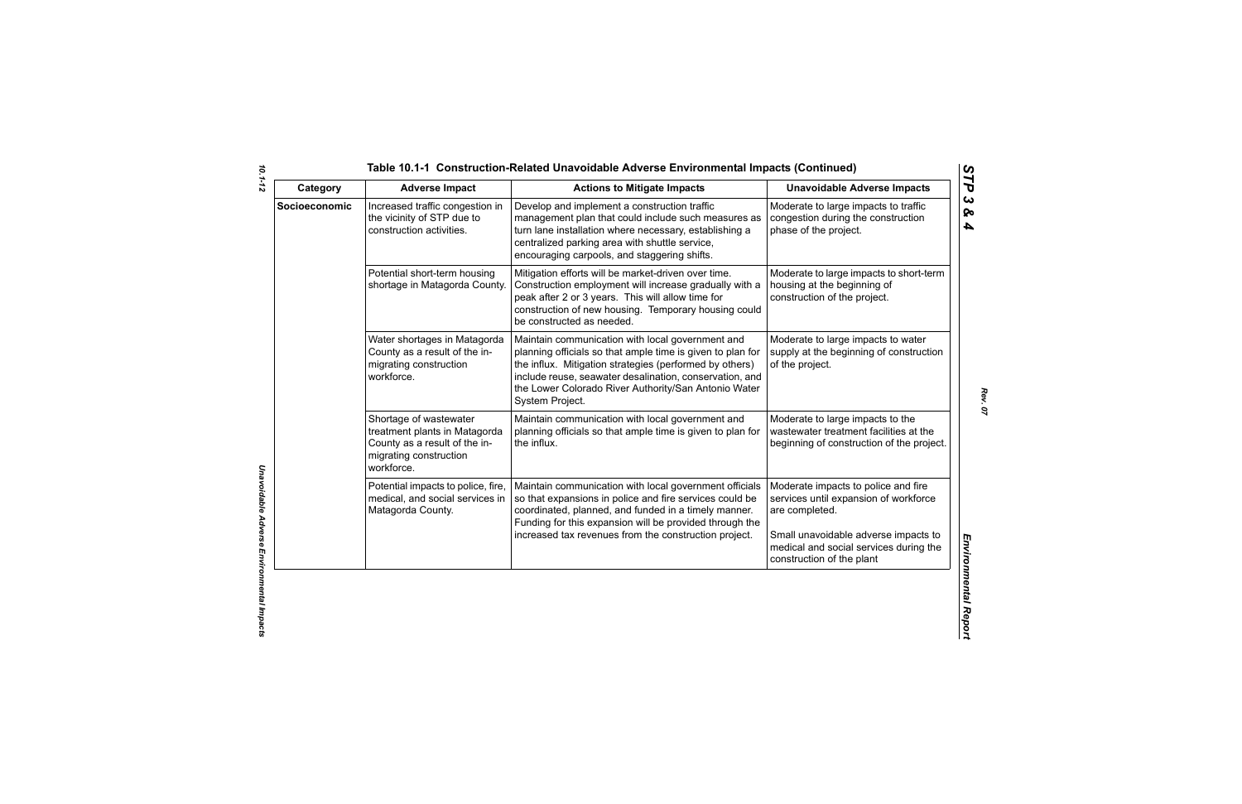| Category      | <b>Adverse Impact</b>                                                                                                            | <b>Actions to Mitigate Impacts</b>                                                                                                                                                                                                                                                                              | <b>Unavoidable Adverse Impacts</b>                                                                                                                                                                            |
|---------------|----------------------------------------------------------------------------------------------------------------------------------|-----------------------------------------------------------------------------------------------------------------------------------------------------------------------------------------------------------------------------------------------------------------------------------------------------------------|---------------------------------------------------------------------------------------------------------------------------------------------------------------------------------------------------------------|
| Socioeconomic | Increased traffic congestion in<br>the vicinity of STP due to<br>construction activities.                                        | Develop and implement a construction traffic<br>management plan that could include such measures as<br>turn lane installation where necessary, establishing a<br>centralized parking area with shuttle service,<br>encouraging carpools, and staggering shifts.                                                 | Moderate to large impacts to traffic<br>congestion during the construction<br>phase of the project.                                                                                                           |
|               | Potential short-term housing<br>shortage in Matagorda County.                                                                    | Mitigation efforts will be market-driven over time.<br>Construction employment will increase gradually with a<br>peak after 2 or 3 years. This will allow time for<br>construction of new housing. Temporary housing could<br>be constructed as needed.                                                         | Moderate to large impacts to short-term<br>housing at the beginning of<br>construction of the project.                                                                                                        |
|               | Water shortages in Matagorda<br>County as a result of the in-<br>migrating construction<br>workforce.                            | Maintain communication with local government and<br>planning officials so that ample time is given to plan for<br>the influx. Mitigation strategies (performed by others)<br>include reuse, seawater desalination, conservation, and<br>the Lower Colorado River Authority/San Antonio Water<br>System Project. | Moderate to large impacts to water<br>supply at the beginning of construction<br>of the project.                                                                                                              |
|               | Shortage of wastewater<br>treatment plants in Matagorda<br>County as a result of the in-<br>migrating construction<br>workforce. | Maintain communication with local government and<br>planning officials so that ample time is given to plan for<br>the influx.                                                                                                                                                                                   | Moderate to large impacts to the<br>wastewater treatment facilities at the<br>beginning of construction of the project.                                                                                       |
|               | Potential impacts to police, fire,<br>medical, and social services in<br>Matagorda County.                                       | Maintain communication with local government officials<br>so that expansions in police and fire services could be<br>coordinated, planned, and funded in a timely manner.<br>Funding for this expansion will be provided through the<br>increased tax revenues from the construction project.                   | Moderate impacts to police and fire<br>services until expansion of workforce<br>are completed.<br>Small unavoidable adverse impacts to<br>medical and social services during the<br>construction of the plant |

*10.1-12*

*Rev. 07*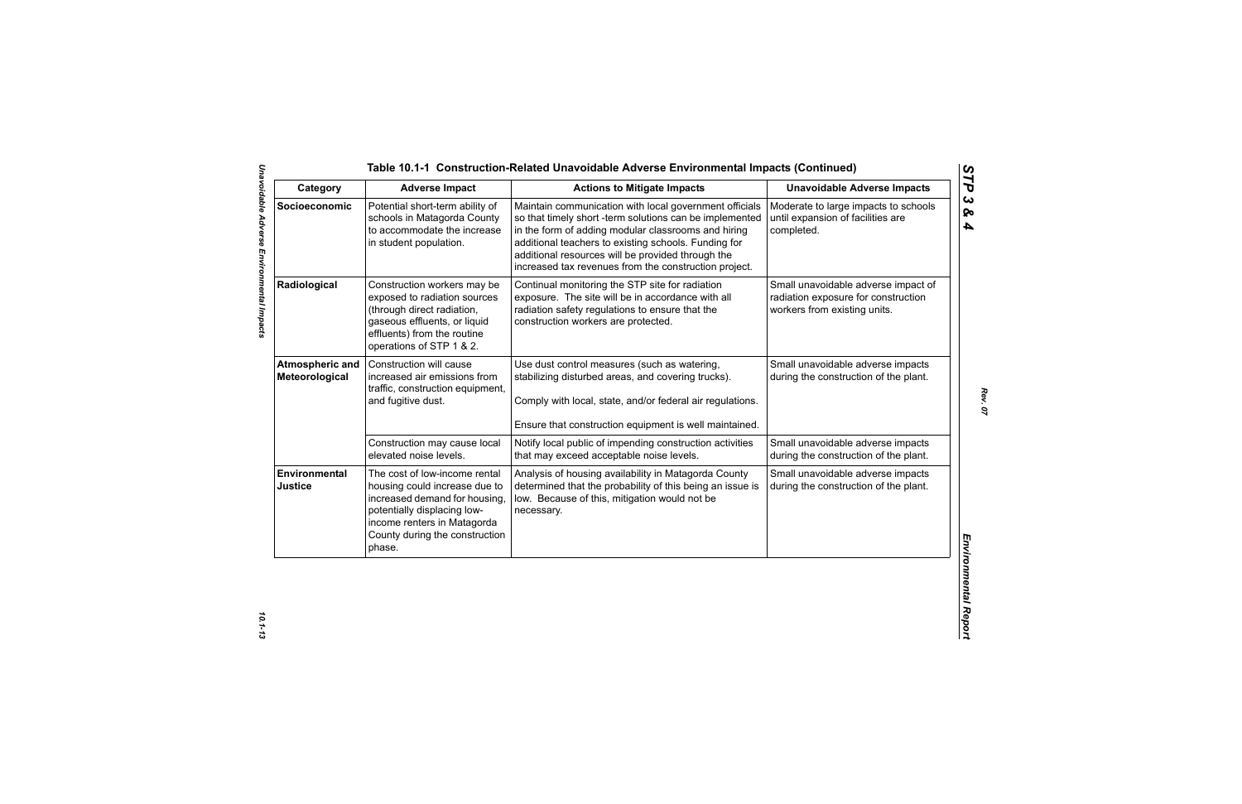| Category                                 | <b>Adverse Impact</b>                                                                                                                                                                                     | <b>Actions to Mitigate Impacts</b>                                                                                                                                                                                                                                                                                                             | <b>Unavoidable Adverse Impacts</b>                                                                         |
|------------------------------------------|-----------------------------------------------------------------------------------------------------------------------------------------------------------------------------------------------------------|------------------------------------------------------------------------------------------------------------------------------------------------------------------------------------------------------------------------------------------------------------------------------------------------------------------------------------------------|------------------------------------------------------------------------------------------------------------|
| Socioeconomic                            | Potential short-term ability of<br>schools in Matagorda County<br>to accommodate the increase<br>in student population.                                                                                   | Maintain communication with local government officials<br>so that timely short -term solutions can be implemented<br>in the form of adding modular classrooms and hiring<br>additional teachers to existing schools. Funding for<br>additional resources will be provided through the<br>increased tax revenues from the construction project. | Moderate to large impacts to schools<br>until expansion of facilities are<br>completed.                    |
| Radiological                             | Construction workers may be<br>exposed to radiation sources<br>(through direct radiation,<br>gaseous effluents, or liquid<br>effluents) from the routine<br>operations of STP 1 & 2.                      | Continual monitoring the STP site for radiation<br>exposure. The site will be in accordance with all<br>radiation safety regulations to ensure that the<br>construction workers are protected.                                                                                                                                                 | Small unavoidable adverse impact of<br>radiation exposure for construction<br>workers from existing units. |
| <b>Atmospheric and</b><br>Meteorological | Construction will cause<br>increased air emissions from<br>traffic, construction equipment,<br>and fugitive dust.                                                                                         | Use dust control measures (such as watering,<br>stabilizing disturbed areas, and covering trucks).<br>Comply with local, state, and/or federal air regulations.<br>Ensure that construction equipment is well maintained.                                                                                                                      | Small unavoidable adverse impacts<br>during the construction of the plant.                                 |
|                                          | Construction may cause local<br>elevated noise levels.                                                                                                                                                    | Notify local public of impending construction activities<br>that may exceed acceptable noise levels.                                                                                                                                                                                                                                           | Small unavoidable adverse impacts<br>during the construction of the plant.                                 |
| <b>Environmental</b><br>Justice          | The cost of low-income rental<br>housing could increase due to<br>increased demand for housing,<br>potentially displacing low-<br>income renters in Matagorda<br>County during the construction<br>phase. | Analysis of housing availability in Matagorda County<br>determined that the probability of this being an issue is<br>low. Because of this, mitigation would not be<br>necessary.                                                                                                                                                               | Small unavoidable adverse impacts<br>during the construction of the plant.                                 |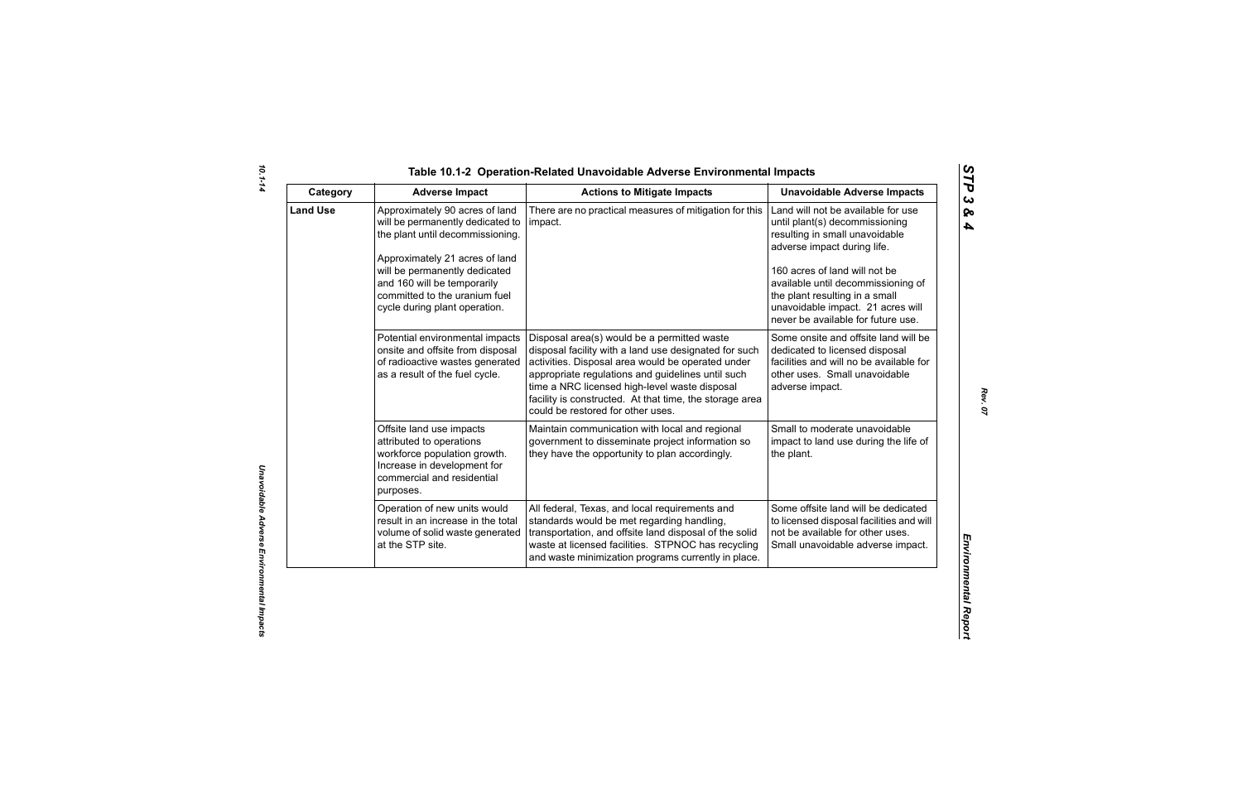| ທ |
|---|
|   |
| C |
| ట |
| ∞ |
| 4 |

| Category        | <b>Adverse Impact</b>                                                                                                                                                                                                                                                      | <b>Actions to Mitigate Impacts</b>                                                                                                                                                                                                                                                                                                                              | <b>Unavoidable Adverse Impacts</b>                                                                                                                                                                                                                                                                                        |
|-----------------|----------------------------------------------------------------------------------------------------------------------------------------------------------------------------------------------------------------------------------------------------------------------------|-----------------------------------------------------------------------------------------------------------------------------------------------------------------------------------------------------------------------------------------------------------------------------------------------------------------------------------------------------------------|---------------------------------------------------------------------------------------------------------------------------------------------------------------------------------------------------------------------------------------------------------------------------------------------------------------------------|
| <b>Land Use</b> | Approximately 90 acres of land<br>will be permanently dedicated to<br>the plant until decommissioning.<br>Approximately 21 acres of land<br>will be permanently dedicated<br>and 160 will be temporarily<br>committed to the uranium fuel<br>cycle during plant operation. | There are no practical measures of mitigation for this<br>impact.                                                                                                                                                                                                                                                                                               | Land will not be available for use<br>until plant(s) decommissioning<br>resulting in small unavoidable<br>adverse impact during life.<br>160 acres of land will not be<br>available until decommissioning of<br>the plant resulting in a small<br>unavoidable impact. 21 acres will<br>never be available for future use. |
|                 | Potential environmental impacts<br>onsite and offsite from disposal<br>of radioactive wastes generated<br>as a result of the fuel cycle.                                                                                                                                   | Disposal area(s) would be a permitted waste<br>disposal facility with a land use designated for such<br>activities. Disposal area would be operated under<br>appropriate regulations and guidelines until such<br>time a NRC licensed high-level waste disposal<br>facility is constructed. At that time, the storage area<br>could be restored for other uses. | Some onsite and offsite land will be<br>dedicated to licensed disposal<br>facilities and will no be available for<br>other uses. Small unavoidable<br>adverse impact.                                                                                                                                                     |
|                 | Offsite land use impacts<br>attributed to operations<br>workforce population growth.<br>Increase in development for<br>commercial and residential<br>purposes.                                                                                                             | Maintain communication with local and regional<br>government to disseminate project information so<br>they have the opportunity to plan accordingly.                                                                                                                                                                                                            | Small to moderate unavoidable<br>impact to land use during the life of<br>the plant.                                                                                                                                                                                                                                      |
|                 | Operation of new units would<br>result in an increase in the total<br>volume of solid waste generated<br>at the STP site.                                                                                                                                                  | All federal, Texas, and local requirements and<br>standards would be met regarding handling,<br>transportation, and offsite land disposal of the solid<br>waste at licensed facilities. STPNOC has recycling<br>and waste minimization programs currently in place.                                                                                             | Some offsite land will be dedicated<br>to licensed disposal facilities and will<br>not be available for other uses.<br>Small unavoidable adverse impact.                                                                                                                                                                  |

*10.1-14*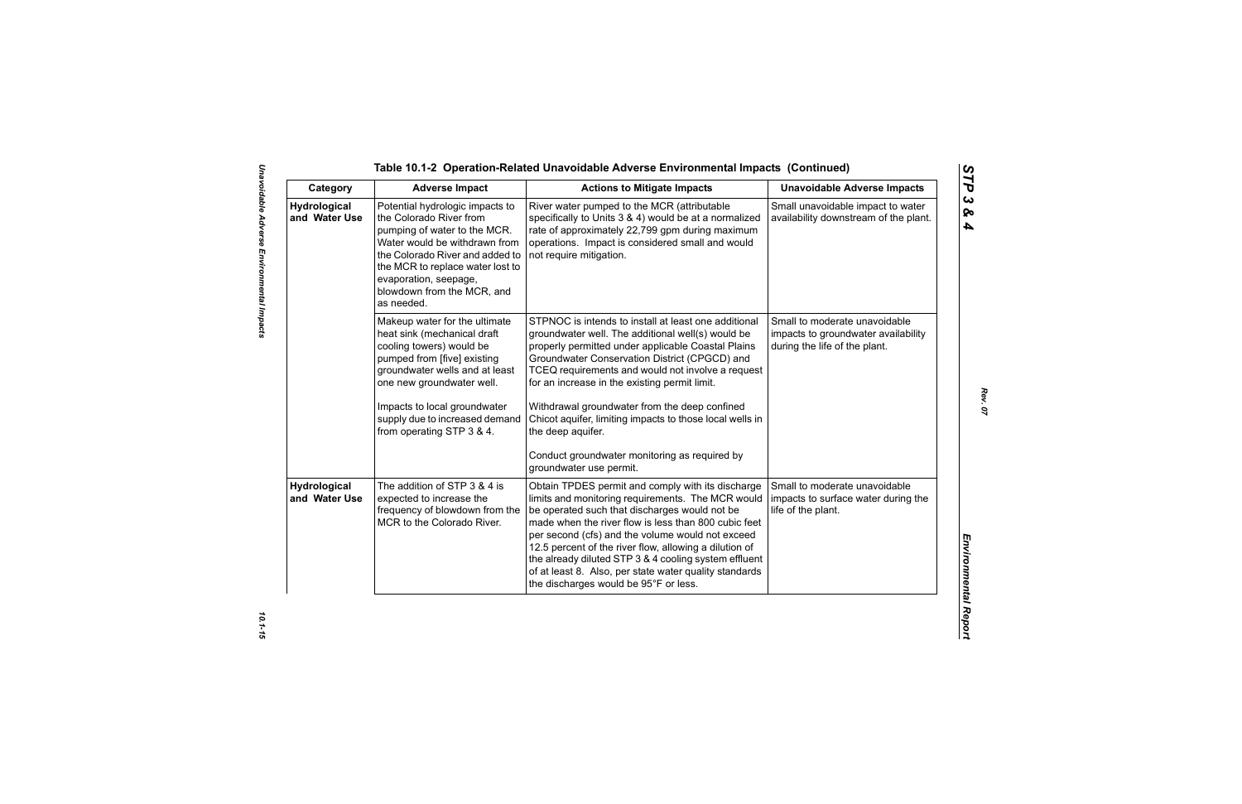Table 10.1-2 Operation-Related Unavoidable Adverse Emplore<br>
Category Adverse Impact<br>
Category Adverse Impact<br>
Marchard Involved Marcha Constant Action to Miligate Impacts<br>
Marchard Involved Late Marcha (Marchard Constant C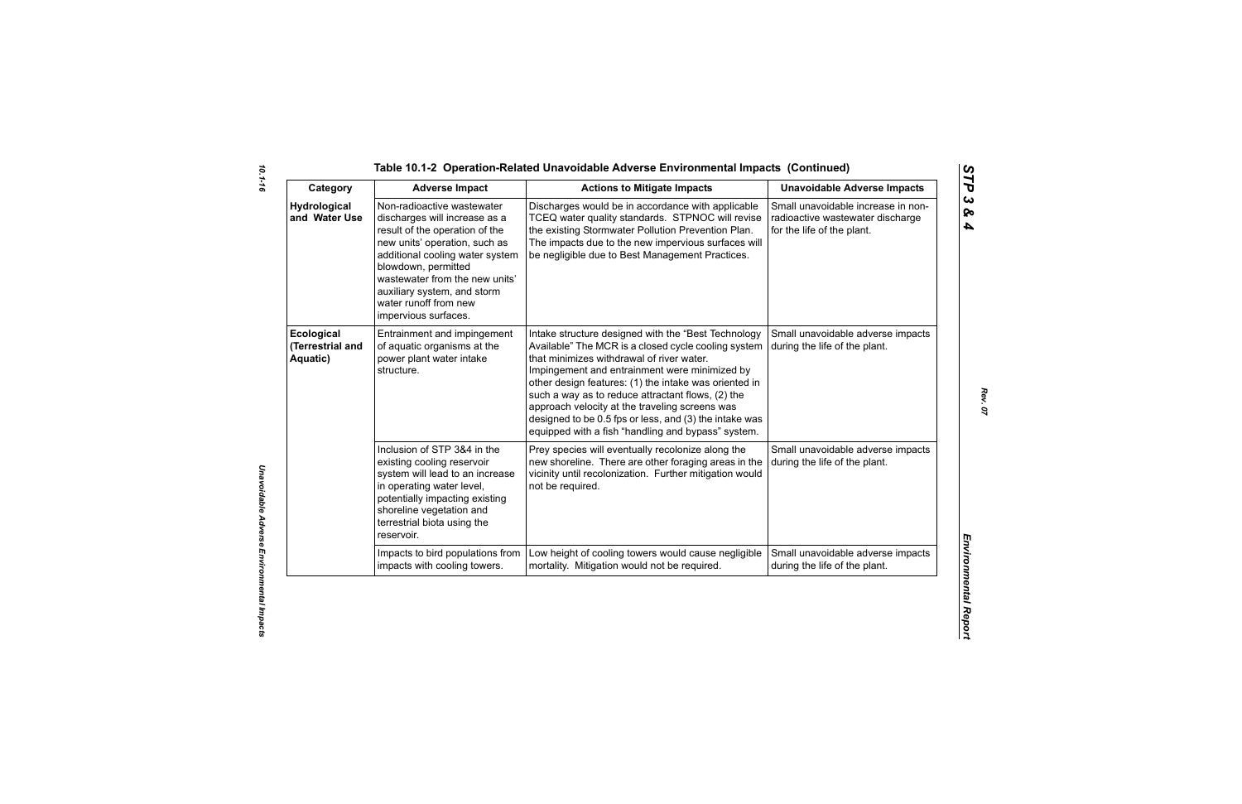| Category                                   | <b>Adverse Impact</b>                                                                                                                                                                                                                                                                                      | <b>Actions to Mitigate Impacts</b>                                                                                                                                                                                                                                                                                                                                                                                                                                                       | <b>Unavoidable Adverse Impacts</b>                                                                   |
|--------------------------------------------|------------------------------------------------------------------------------------------------------------------------------------------------------------------------------------------------------------------------------------------------------------------------------------------------------------|------------------------------------------------------------------------------------------------------------------------------------------------------------------------------------------------------------------------------------------------------------------------------------------------------------------------------------------------------------------------------------------------------------------------------------------------------------------------------------------|------------------------------------------------------------------------------------------------------|
| <b>Hydrological</b><br>and Water Use       | Non-radioactive wastewater<br>discharges will increase as a<br>result of the operation of the<br>new units' operation, such as<br>additional cooling water system<br>blowdown, permitted<br>wastewater from the new units'<br>auxiliary system, and storm<br>water runoff from new<br>impervious surfaces. | Discharges would be in accordance with applicable<br>TCEQ water quality standards. STPNOC will revise<br>the existing Stormwater Pollution Prevention Plan.<br>The impacts due to the new impervious surfaces will<br>be negligible due to Best Management Practices.                                                                                                                                                                                                                    | Small unavoidable increase in non-<br>radioactive wastewater discharge<br>for the life of the plant. |
| Ecological<br>(Terrestrial and<br>Aquatic) | Entrainment and impingement<br>of aquatic organisms at the<br>power plant water intake<br>structure.                                                                                                                                                                                                       | Intake structure designed with the "Best Technology<br>Available" The MCR is a closed cycle cooling system<br>that minimizes withdrawal of river water.<br>Impingement and entrainment were minimized by<br>other design features: (1) the intake was oriented in<br>such a way as to reduce attractant flows, (2) the<br>approach velocity at the traveling screens was<br>designed to be 0.5 fps or less, and (3) the intake was<br>equipped with a fish "handling and bypass" system. | Small unavoidable adverse impacts<br>during the life of the plant.                                   |
|                                            | Inclusion of STP 3&4 in the<br>existing cooling reservoir<br>system will lead to an increase<br>in operating water level,<br>potentially impacting existing<br>shoreline vegetation and<br>terrestrial biota using the<br>reservoir.                                                                       | Prey species will eventually recolonize along the<br>new shoreline. There are other foraging areas in the<br>vicinity until recolonization. Further mitigation would<br>not be required.                                                                                                                                                                                                                                                                                                 | Small unavoidable adverse impacts<br>during the life of the plant.                                   |
|                                            | Impacts to bird populations from<br>impacts with cooling towers.                                                                                                                                                                                                                                           | Low height of cooling towers would cause negligible<br>mortality. Mitigation would not be required.                                                                                                                                                                                                                                                                                                                                                                                      | Small unavoidable adverse impacts<br>during the life of the plant.                                   |